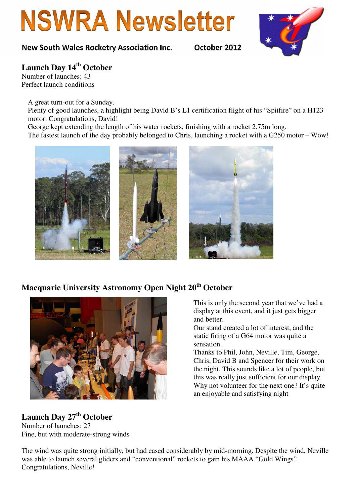# **NSWRA Newsletter**

#### New South Wales Rocketry Association Inc. October 2012



## **Launch Day 14th October**

Number of launches: 43 Perfect launch conditions

A great turn-out for a Sunday.

Plenty of good launches, a highlight being David B's L1 certification flight of his "Spitfire" on a H123 motor. Congratulations, David!

George kept extending the length of his water rockets, finishing with a rocket 2.75m long.

The fastest launch of the day probably belonged to Chris, launching a rocket with a G250 motor – Wow!



### **Macquarie University Astronomy Open Night 20th October**



**Launch Day 27th October**  Number of launches: 27 Fine, but with moderate-strong winds This is only the second year that we've had a display at this event, and it just gets bigger and better.

Our stand created a lot of interest, and the static firing of a G64 motor was quite a sensation.

Thanks to Phil, John, Neville, Tim, George, Chris, David B and Spencer for their work on the night. This sounds like a lot of people, but this was really just sufficient for our display. Why not volunteer for the next one? It's quite an enjoyable and satisfying night

The wind was quite strong initially, but had eased considerably by mid-morning. Despite the wind, Neville was able to launch several gliders and "conventional" rockets to gain his MAAA "Gold Wings". Congratulations, Neville!